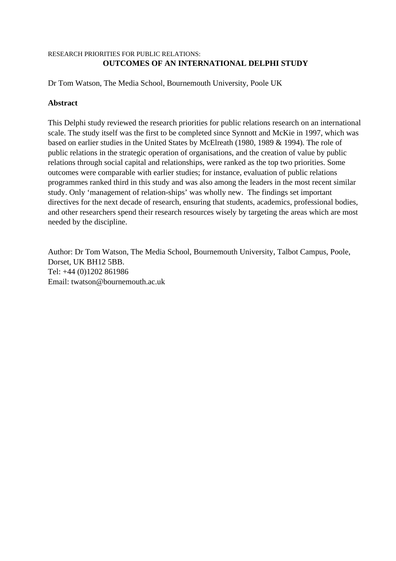#### RESEARCH PRIORITIES FOR PUBLIC RELATIONS: **OUTCOMES OF AN INTERNATIONAL DELPHI STUDY**

Dr Tom Watson, The Media School, Bournemouth University, Poole UK

## **Abstract**

This Delphi study reviewed the research priorities for public relations research on an international scale. The study itself was the first to be completed since Synnott and McKie in 1997, which was based on earlier studies in the United States by McElreath (1980, 1989 & 1994). The role of public relations in the strategic operation of organisations, and the creation of value by public relations through social capital and relationships, were ranked as the top two priorities. Some outcomes were comparable with earlier studies; for instance, evaluation of public relations programmes ranked third in this study and was also among the leaders in the most recent similar study. Only 'management of relation-ships' was wholly new. The findings set important directives for the next decade of research, ensuring that students, academics, professional bodies, and other researchers spend their research resources wisely by targeting the areas which are most needed by the discipline.

Author: Dr Tom Watson, The Media School, Bournemouth University, Talbot Campus, Poole, Dorset, UK BH12 5BB. Tel: +44 (0)1202 861986 Email: twatson@bournemouth.ac.uk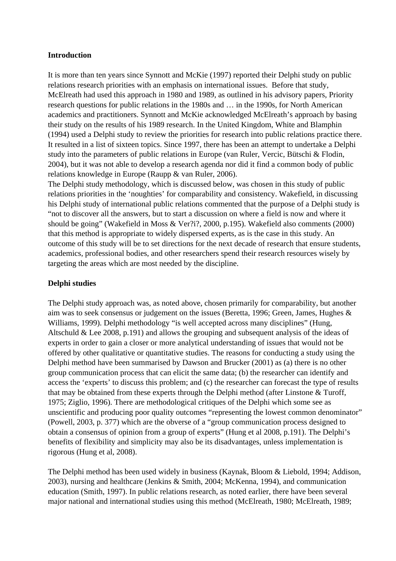#### **Introduction**

It is more than ten years since Synnott and McKie (1997) reported their Delphi study on public relations research priorities with an emphasis on international issues. Before that study, McElreath had used this approach in 1980 and 1989, as outlined in his advisory papers, Priority research questions for public relations in the 1980s and … in the 1990s, for North American academics and practitioners. Synnott and McKie acknowledged McElreath's approach by basing their study on the results of his 1989 research. In the United Kingdom, White and Blamphin (1994) used a Delphi study to review the priorities for research into public relations practice there. It resulted in a list of sixteen topics. Since 1997, there has been an attempt to undertake a Delphi study into the parameters of public relations in Europe (van Ruler, Vercic, Bütschi & Flodin, 2004), but it was not able to develop a research agenda nor did it find a common body of public relations knowledge in Europe (Raupp & van Ruler, 2006).

The Delphi study methodology, which is discussed below, was chosen in this study of public relations priorities in the 'noughties' for comparability and consistency. Wakefield, in discussing his Delphi study of international public relations commented that the purpose of a Delphi study is "not to discover all the answers, but to start a discussion on where a field is now and where it should be going" (Wakefield in Moss & Ver?i?, 2000, p.195). Wakefield also comments (2000) that this method is appropriate to widely dispersed experts, as is the case in this study. An outcome of this study will be to set directions for the next decade of research that ensure students, academics, professional bodies, and other researchers spend their research resources wisely by targeting the areas which are most needed by the discipline.

#### **Delphi studies**

The Delphi study approach was, as noted above, chosen primarily for comparability, but another aim was to seek consensus or judgement on the issues (Beretta, 1996; Green, James, Hughes & Williams, 1999). Delphi methodology "is well accepted across many disciplines" (Hung, Altschuld & Lee 2008, p.191) and allows the grouping and subsequent analysis of the ideas of experts in order to gain a closer or more analytical understanding of issues that would not be offered by other qualitative or quantitative studies. The reasons for conducting a study using the Delphi method have been summarised by Dawson and Brucker (2001) as (a) there is no other group communication process that can elicit the same data; (b) the researcher can identify and access the 'experts' to discuss this problem; and (c) the researcher can forecast the type of results that may be obtained from these experts through the Delphi method (after Linstone & Turoff, 1975; Ziglio, 1996). There are methodological critiques of the Delphi which some see as unscientific and producing poor quality outcomes "representing the lowest common denominator" (Powell, 2003, p. 377) which are the obverse of a "group communication process designed to obtain a consensus of opinion from a group of experts" (Hung et al 2008, p.191). The Delphi's benefits of flexibility and simplicity may also be its disadvantages, unless implementation is rigorous (Hung et al, 2008).

The Delphi method has been used widely in business (Kaynak, Bloom & Liebold, 1994; Addison, 2003), nursing and healthcare (Jenkins & Smith, 2004; McKenna, 1994), and communication education (Smith, 1997). In public relations research, as noted earlier, there have been several major national and international studies using this method (McElreath, 1980; McElreath, 1989;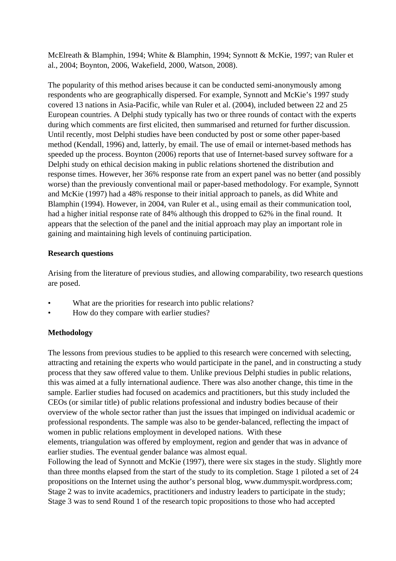McElreath & Blamphin, 1994; White & Blamphin, 1994; Synnott & McKie, 1997; van Ruler et al., 2004; Boynton, 2006, Wakefield, 2000, Watson, 2008).

The popularity of this method arises because it can be conducted semi-anonymously among respondents who are geographically dispersed. For example, Synnott and McKie's 1997 study covered 13 nations in Asia-Pacific, while van Ruler et al. (2004), included between 22 and 25 European countries. A Delphi study typically has two or three rounds of contact with the experts during which comments are first elicited, then summarised and returned for further discussion. Until recently, most Delphi studies have been conducted by post or some other paper-based method (Kendall, 1996) and, latterly, by email. The use of email or internet-based methods has speeded up the process. Boynton (2006) reports that use of Internet-based survey software for a Delphi study on ethical decision making in public relations shortened the distribution and response times. However, her 36% response rate from an expert panel was no better (and possibly worse) than the previously conventional mail or paper-based methodology. For example, Synnott and McKie (1997) had a 48% response to their initial approach to panels, as did White and Blamphin (1994). However, in 2004, van Ruler et al., using email as their communication tool, had a higher initial response rate of 84% although this dropped to 62% in the final round. It appears that the selection of the panel and the initial approach may play an important role in gaining and maintaining high levels of continuing participation.

## **Research questions**

Arising from the literature of previous studies, and allowing comparability, two research questions are posed.

- What are the priorities for research into public relations?
- How do they compare with earlier studies?

# **Methodology**

The lessons from previous studies to be applied to this research were concerned with selecting, attracting and retaining the experts who would participate in the panel, and in constructing a study process that they saw offered value to them. Unlike previous Delphi studies in public relations, this was aimed at a fully international audience. There was also another change, this time in the sample. Earlier studies had focused on academics and practitioners, but this study included the CEOs (or similar title) of public relations professional and industry bodies because of their overview of the whole sector rather than just the issues that impinged on individual academic or professional respondents. The sample was also to be gender-balanced, reflecting the impact of women in public relations employment in developed nations. With these

elements, triangulation was offered by employment, region and gender that was in advance of earlier studies. The eventual gender balance was almost equal.

Following the lead of Synnott and McKie (1997), there were six stages in the study. Slightly more than three months elapsed from the start of the study to its completion. Stage 1 piloted a set of 24 propositions on the Internet using the author's personal blog, www.dummyspit.wordpress.com; Stage 2 was to invite academics, practitioners and industry leaders to participate in the study; Stage 3 was to send Round 1 of the research topic propositions to those who had accepted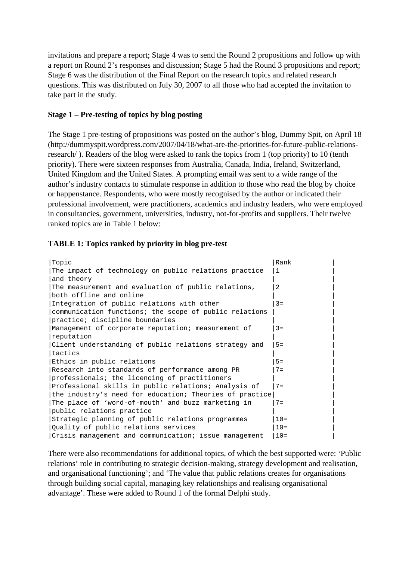invitations and prepare a report; Stage 4 was to send the Round 2 propositions and follow up with a report on Round 2's responses and discussion; Stage 5 had the Round 3 propositions and report; Stage 6 was the distribution of the Final Report on the research topics and related research questions. This was distributed on July 30, 2007 to all those who had accepted the invitation to take part in the study.

## **Stage 1 – Pre-testing of topics by blog posting**

The Stage 1 pre-testing of propositions was posted on the author's blog, Dummy Spit, on April 18 (http://dummyspit.wordpress.com/2007/04/18/what-are-the-priorities-for-future-public-relationsresearch/ ). Readers of the blog were asked to rank the topics from 1 (top priority) to 10 (tenth priority). There were sixteen responses from Australia, Canada, India, Ireland, Switzerland, United Kingdom and the United States. A prompting email was sent to a wide range of the author's industry contacts to stimulate response in addition to those who read the blog by choice or happenstance. Respondents, who were mostly recognised by the author or indicated their professional involvement, were practitioners, academics and industry leaders, who were employed in consultancies, government, universities, industry, not-for-profits and suppliers. Their twelve ranked topics are in Table 1 below:

## **TABLE 1: Topics ranked by priority in blog pre-test**

| Topic                                                   | Rank   |
|---------------------------------------------------------|--------|
| The impact of technology on public relations practice   | -1     |
| and theory                                              |        |
| The measurement and evaluation of public relations,     | 2      |
| both offline and online                                 |        |
| Integration of public relations with other              | $3 =$  |
| communication functions; the scope of public relations  |        |
| practice; discipline boundaries                         |        |
| Management of corporate reputation; measurement of      | $3 =$  |
| reputation                                              |        |
| Client understanding of public relations strategy and   | $5 =$  |
| tactics                                                 |        |
| Ethics in public relations                              | $5 =$  |
| Research into standards of performance among PR         | $7 =$  |
| professionals; the licencing of practitioners           |        |
| Professional skills in public relations; Analysis of    | $7 =$  |
| the industry's need for education; Theories of practice |        |
| The place of 'word-of-mouth' and buzz marketing in      | $7 =$  |
| public relations practice                               |        |
| Strategic planning of public relations programmes       | $10 =$ |
| Quality of public relations services                    | $10 =$ |
| Crisis management and communication; issue management   | $10 =$ |

There were also recommendations for additional topics, of which the best supported were: 'Public relations' role in contributing to strategic decision-making, strategy development and realisation, and organisational functioning'; and 'The value that public relations creates for organisations through building social capital, managing key relationships and realising organisational advantage'. These were added to Round 1 of the formal Delphi study.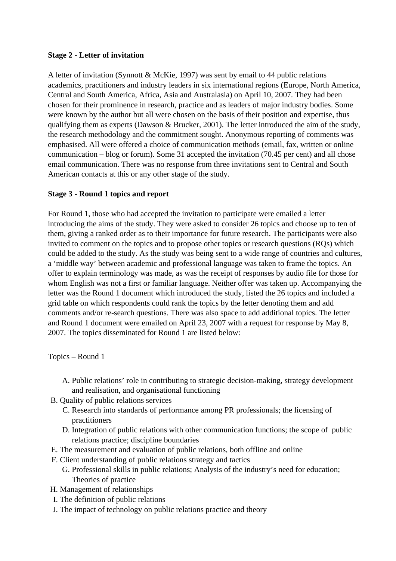#### **Stage 2 - Letter of invitation**

A letter of invitation (Synnott & McKie, 1997) was sent by email to 44 public relations academics, practitioners and industry leaders in six international regions (Europe, North America, Central and South America, Africa, Asia and Australasia) on April 10, 2007. They had been chosen for their prominence in research, practice and as leaders of major industry bodies. Some were known by the author but all were chosen on the basis of their position and expertise, thus qualifying them as experts (Dawson & Brucker, 2001). The letter introduced the aim of the study, the research methodology and the commitment sought. Anonymous reporting of comments was emphasised. All were offered a choice of communication methods (email, fax, written or online communication – blog or forum). Some 31 accepted the invitation (70.45 per cent) and all chose email communication. There was no response from three invitations sent to Central and South American contacts at this or any other stage of the study.

## **Stage 3 - Round 1 topics and report**

For Round 1, those who had accepted the invitation to participate were emailed a letter introducing the aims of the study. They were asked to consider 26 topics and choose up to ten of them, giving a ranked order as to their importance for future research. The participants were also invited to comment on the topics and to propose other topics or research questions (RQs) which could be added to the study. As the study was being sent to a wide range of countries and cultures, a 'middle way' between academic and professional language was taken to frame the topics. An offer to explain terminology was made, as was the receipt of responses by audio file for those for whom English was not a first or familiar language. Neither offer was taken up. Accompanying the letter was the Round 1 document which introduced the study, listed the 26 topics and included a grid table on which respondents could rank the topics by the letter denoting them and add comments and/or re-search questions. There was also space to add additional topics. The letter and Round 1 document were emailed on April 23, 2007 with a request for response by May 8, 2007. The topics disseminated for Round 1 are listed below:

Topics – Round 1

- A. Public relations' role in contributing to strategic decision-making, strategy development and realisation, and organisational functioning
- B. Quality of public relations services
	- C. Research into standards of performance among PR professionals; the licensing of practitioners
	- D. Integration of public relations with other communication functions; the scope of public relations practice; discipline boundaries
- E. The measurement and evaluation of public relations, both offline and online
- F. Client understanding of public relations strategy and tactics
	- G. Professional skills in public relations; Analysis of the industry's need for education; Theories of practice
- H. Management of relationships
- I. The definition of public relations
- J. The impact of technology on public relations practice and theory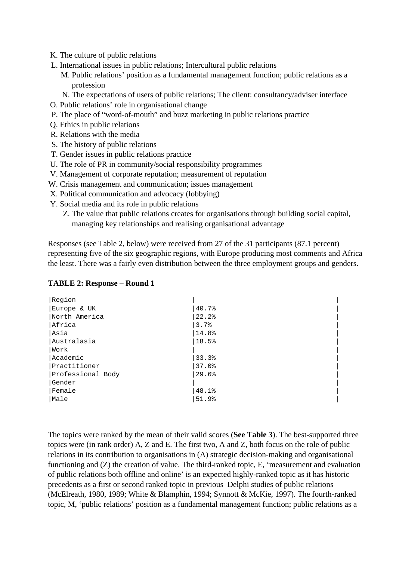- K. The culture of public relations
- L. International issues in public relations; Intercultural public relations
	- M. Public relations' position as a fundamental management function; public relations as a profession
	- N. The expectations of users of public relations; The client: consultancy/adviser interface
- O. Public relations' role in organisational change
- P. The place of "word-of-mouth" and buzz marketing in public relations practice
- Q. Ethics in public relations
- R. Relations with the media
- S. The history of public relations
- T. Gender issues in public relations practice
- U. The role of PR in community/social responsibility programmes
- V. Management of corporate reputation; measurement of reputation
- W. Crisis management and communication; issues management
- X. Political communication and advocacy (lobbying)
- Y. Social media and its role in public relations
	- Z. The value that public relations creates for organisations through building social capital, managing key relationships and realising organisational advantage

Responses (see Table 2, below) were received from 27 of the 31 participants (87.1 percent) representing five of the six geographic regions, with Europe producing most comments and Africa the least. There was a fairly even distribution between the three employment groups and genders.

| Region            |       |
|-------------------|-------|
| Europe & UK       | 40.7% |
| North America     | 22.2% |
| Africa            | 3.7%  |
| Asia              | 14.8% |
| lAustralasia      | 18.5% |
| Work              |       |
| Academic          | 33.3% |
| Practitioner      | 37.0% |
| Professional Body | 29.6% |
| Gender            |       |
| Female            | 48.1% |
| Male              | 51.9% |

#### **TABLE 2: Response – Round 1**

The topics were ranked by the mean of their valid scores (**See Table 3**). The best-supported three topics were (in rank order) A, Z and E. The first two, A and Z, both focus on the role of public relations in its contribution to organisations in (A) strategic decision-making and organisational functioning and (Z) the creation of value. The third-ranked topic, E, 'measurement and evaluation of public relations both offline and online' is an expected highly-ranked topic as it has historic precedents as a first or second ranked topic in previous Delphi studies of public relations (McElreath, 1980, 1989; White & Blamphin, 1994; Synnott & McKie, 1997). The fourth-ranked topic, M, 'public relations' position as a fundamental management function; public relations as a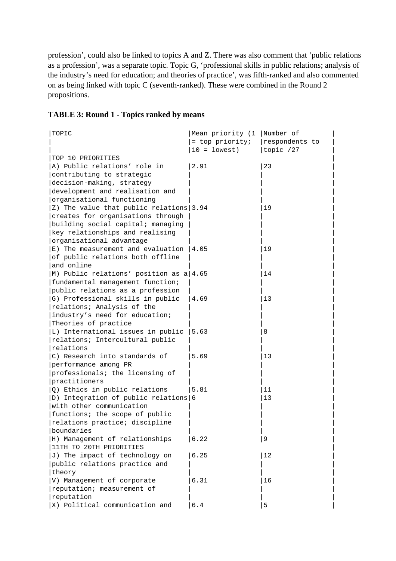profession', could also be linked to topics A and Z. There was also comment that 'public relations as a profession', was a separate topic. Topic G, 'professional skills in public relations; analysis of the industry's need for education; and theories of practice', was fifth-ranked and also commented on as being linked with topic C (seventh-ranked). These were combined in the Round 2 propositions.

# **TABLE 3: Round 1 - Topics ranked by means**

| TOPIC                                            | Mean priority (1  Number of |                |
|--------------------------------------------------|-----------------------------|----------------|
|                                                  | = top priority;             | respondents to |
|                                                  | $ 10 = \text{lowest} $      | topic $/27$    |
| TOP 10 PRIORITIES                                |                             |                |
| A) Public relations' role in                     | 2.91                        | 23             |
| contributing to strategic                        |                             |                |
| decision-making, strategy                        |                             |                |
| development and realisation and                  |                             |                |
| organisational functioning                       |                             |                |
| Z) The value that public relations $ 3.94$       |                             | 19             |
| creates for organisations through                |                             |                |
| building social capital; managing                |                             |                |
| key relationships and realising                  |                             |                |
| organisational advantage                         |                             |                |
| E) The measurement and evaluation $ 4.05$        |                             | 19             |
| of public relations both offline                 |                             |                |
| and online                                       |                             |                |
| M) Public relations' position as $a/4.65$        |                             | 14             |
| fundamental management function;                 |                             |                |
| public relations as a profession                 |                             |                |
| G) Professional skills in public                 | 4.69                        | 13             |
| relations; Analysis of the                       |                             |                |
| industry's need for education;                   |                             |                |
| Theories of practice                             |                             |                |
| L) International issues in public $ 5.63\rangle$ |                             | 8              |
| relations; Intercultural public                  |                             |                |
| relations                                        |                             |                |
| C) Research into standards of                    | 5.69                        | 13             |
| performance among PR                             |                             |                |
| professionals; the licensing of                  |                             |                |
| practitioners                                    |                             |                |
| Q) Ethics in public relations                    | 5.81                        | 11             |
| D) Integration of public relations 6             |                             | 13             |
| with other communication                         |                             |                |
| functions; the scope of public                   |                             |                |
| relations practice; discipline                   |                             |                |
| boundaries                                       |                             |                |
| H) Management of relationships                   | 6.22                        | 9              |
| 11TH TO 20TH PRIORITIES                          |                             |                |
| J) The impact of technology on                   | 6.25                        | 12             |
| public relations practice and                    |                             |                |
| theory                                           |                             |                |
| V) Management of corporate                       | 6.31                        | 16             |
| reputation; measurement of                       |                             |                |
| reputation                                       |                             |                |
| X) Political communication and                   | 6.4                         | 5              |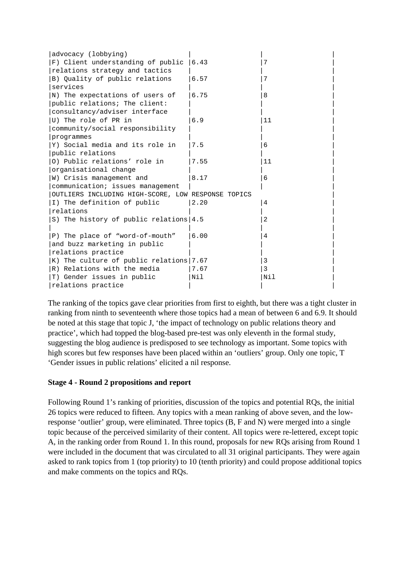| advocacy (lobbying)                                |       |     |
|----------------------------------------------------|-------|-----|
| F) Client understanding of public   6.43           |       | 7   |
| relations strategy and tactics                     |       |     |
| B) Quality of public relations                     | 6.57  | 7   |
| services                                           |       |     |
| N) The expectations of users of                    | 6.75  | 8   |
| public relations; The client:                      |       |     |
| consultancy/adviser interface                      |       |     |
| U) The role of PR in                               | 6.9   | 11  |
| community/social responsibility                    |       |     |
| programmes                                         |       |     |
| Y) Social media and its role in                    | 7.5   | 6   |
| public relations                                   |       |     |
| 0) Public relations' role in                       | 7.55  | 11  |
| organisational change                              |       |     |
| W) Crisis management and                           | 8.17  | 6   |
| communication; issues management                   |       |     |
| OUTLIERS INCLUDING HIGH-SCORE, LOW RESPONSE TOPICS |       |     |
| I) The definition of public                        | 2.20  | 4   |
| relations                                          |       |     |
| S) The history of public relations $ 4.5$          |       | 2   |
|                                                    |       |     |
| P) The place of "word-of-mouth"                    | 16.00 | 4   |
| and buzz marketing in public                       |       |     |
| relations practice                                 |       |     |
| K) The culture of public relations $7.67$          |       | 3   |
| R) Relations with the media                        | 7.67  | 3   |
| T) Gender issues in public                         | Nil   | Nil |
| relations practice                                 |       |     |

The ranking of the topics gave clear priorities from first to eighth, but there was a tight cluster in ranking from ninth to seventeenth where those topics had a mean of between 6 and 6.9. It should be noted at this stage that topic J, 'the impact of technology on public relations theory and practice', which had topped the blog-based pre-test was only eleventh in the formal study, suggesting the blog audience is predisposed to see technology as important. Some topics with high scores but few responses have been placed within an 'outliers' group. Only one topic, T 'Gender issues in public relations' elicited a nil response.

## **Stage 4 - Round 2 propositions and report**

Following Round 1's ranking of priorities, discussion of the topics and potential RQs, the initial 26 topics were reduced to fifteen. Any topics with a mean ranking of above seven, and the lowresponse 'outlier' group, were eliminated. Three topics (B, F and N) were merged into a single topic because of the perceived similarity of their content. All topics were re-lettered, except topic A, in the ranking order from Round 1. In this round, proposals for new RQs arising from Round 1 were included in the document that was circulated to all 31 original participants. They were again asked to rank topics from 1 (top priority) to 10 (tenth priority) and could propose additional topics and make comments on the topics and RQs.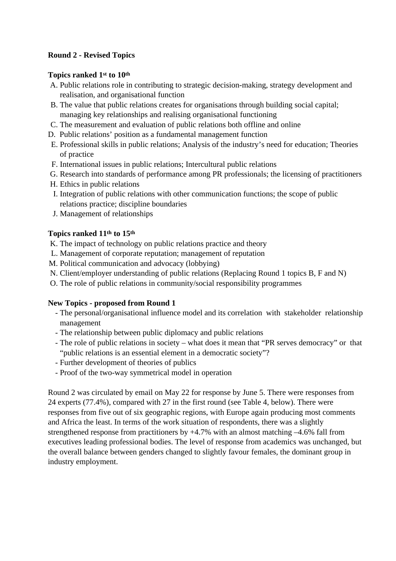## **Round 2 - Revised Topics**

## **Topics ranked 1st to 10th**

- A. Public relations role in contributing to strategic decision-making, strategy development and realisation, and organisational function
- B. The value that public relations creates for organisations through building social capital; managing key relationships and realising organisational functioning
- C. The measurement and evaluation of public relations both offline and online
- D. Public relations' position as a fundamental management function
- E. Professional skills in public relations; Analysis of the industry's need for education; Theories of practice
- F. International issues in public relations; Intercultural public relations
- G. Research into standards of performance among PR professionals; the licensing of practitioners
- H. Ethics in public relations
- I. Integration of public relations with other communication functions; the scope of public relations practice; discipline boundaries
- J. Management of relationships

## **Topics ranked 11th to 15th**

- K. The impact of technology on public relations practice and theory
- L. Management of corporate reputation; management of reputation
- M. Political communication and advocacy (lobbying)
- N. Client/employer understanding of public relations (Replacing Round 1 topics B, F and N)
- O. The role of public relations in community/social responsibility programmes

## **New Topics - proposed from Round 1**

- The personal/organisational influence model and its correlation with stakeholder relationship management
- The relationship between public diplomacy and public relations
- The role of public relations in society what does it mean that "PR serves democracy" or that "public relations is an essential element in a democratic society"?
- Further development of theories of publics
- Proof of the two-way symmetrical model in operation

Round 2 was circulated by email on May 22 for response by June 5. There were responses from 24 experts (77.4%), compared with 27 in the first round (see Table 4, below). There were responses from five out of six geographic regions, with Europe again producing most comments and Africa the least. In terms of the work situation of respondents, there was a slightly strengthened response from practitioners by +4.7% with an almost matching –4.6% fall from executives leading professional bodies. The level of response from academics was unchanged, but the overall balance between genders changed to slightly favour females, the dominant group in industry employment.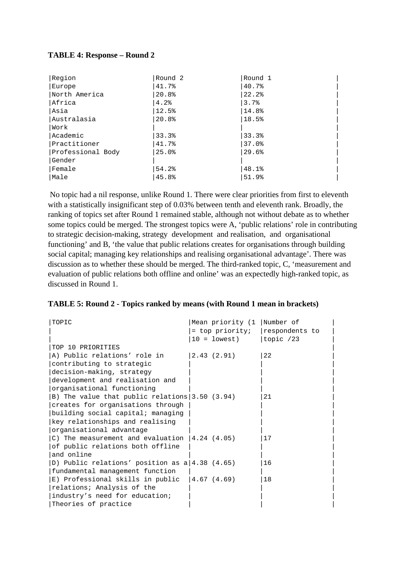#### **TABLE 4: Response – Round 2**

| Region            | Round 2 | Round 1 |
|-------------------|---------|---------|
| Europe            | 41.7%   | 40.7%   |
| North America     | 20.8%   | 22.2%   |
| Africa            | 4.2%    | 3.7%    |
| lAsia             | 12.5%   | 14.8%   |
| lAustralasia      | 20.8%   | 18.5%   |
| Work              |         |         |
| Academic          | 33.3%   | 33.3%   |
| Practitioner      | 41.7%   | 37.0%   |
| Professional Body | 25.0%   | 29.6%   |
| Gender            |         |         |
| Female            | 54.2%   | 48.1%   |
| Male              | 45.8%   | 51.9%   |

 No topic had a nil response, unlike Round 1. There were clear priorities from first to eleventh with a statistically insignificant step of 0.03% between tenth and eleventh rank. Broadly, the ranking of topics set after Round 1 remained stable, although not without debate as to whether some topics could be merged. The strongest topics were A, 'public relations' role in contributing to strategic decision-making, strategy development and realisation, and organisational functioning' and B, 'the value that public relations creates for organisations through building social capital; managing key relationships and realising organisational advantage'. There was discussion as to whether these should be merged. The third-ranked topic, C, 'measurement and evaluation of public relations both offline and online' was an expectedly high-ranked topic, as discussed in Round 1.

#### **TABLE 5: Round 2 - Topics ranked by means (with Round 1 mean in brackets)**

| TOPIC                                               | Mean priority (1   Number of           |    |
|-----------------------------------------------------|----------------------------------------|----|
|                                                     | = top priority; $\vert$ respondents to |    |
|                                                     | $10 =$ lowest)   topic $/23$           |    |
| TOP 10 PRIORITIES                                   |                                        |    |
| A) Public relations' role in [2.43 (2.91)           |                                        | 22 |
| contributing to strategic                           |                                        |    |
| decision-making, strategy                           |                                        |    |
| development and realisation and                     |                                        |    |
| organisational functioning                          |                                        |    |
| B) The value that public relations $3.50$ (3.94)    |                                        | 21 |
| creates for organisations through                   |                                        |    |
| building social capital; managing                   |                                        |    |
| key relationships and realising                     |                                        |    |
| organisational advantage                            |                                        |    |
| C) The measurement and evaluation $ 4.24 \t(4.05) $ |                                        | 17 |
| of public relations both offline                    |                                        |    |
| and online                                          |                                        |    |
| D) Public relations' position as $a/4.38$ (4.65)    |                                        | 16 |
| fundamental management function                     |                                        |    |
| E) Professional skills in public $ 4.67 (4.69) $    |                                        | 18 |
| relations; Analysis of the                          |                                        |    |
| industry's need for education;                      |                                        |    |
| Theories of practice                                |                                        |    |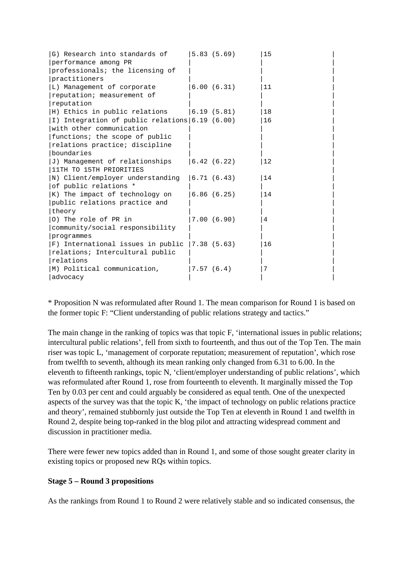| G) Research into standards of $\vert$ 5.83 (5.69)<br>performance among PR |            | 15 |  |
|---------------------------------------------------------------------------|------------|----|--|
|                                                                           |            |    |  |
| professionals; the licensing of                                           |            |    |  |
| practitioners                                                             |            |    |  |
| L) Management of corporate                                                | 6.00(6.31) | 11 |  |
| reputation; measurement of                                                |            |    |  |
| reputation                                                                |            |    |  |
| $H)$ Ethics in public relations $(6.19, (5.81))$                          |            | 18 |  |
| I) Integration of public relations 6.19 (6.00)                            |            | 16 |  |
| with other communication                                                  |            |    |  |
| functions; the scope of public                                            |            |    |  |
| relations practice; discipline                                            |            |    |  |
| boundaries                                                                |            |    |  |
| J) Management of relationships                                            | 6.42(6.22) | 12 |  |
| 11TH TO 15TH PRIORITIES                                                   |            |    |  |
| $\vert N\rangle$ Client/employer understanding $\vert 6.71$ (6.43)        |            | 14 |  |
| of public relations *                                                     |            |    |  |
| K) The impact of technology on                                            | 6.86(6.25) | 14 |  |
| public relations practice and                                             |            |    |  |
| theory                                                                    |            |    |  |
| 0) The role of PR in                                                      | 7.00(6.90) | 4  |  |
| community/social responsibility                                           |            |    |  |
| programmes                                                                |            |    |  |
| F) International issues in public $ 7.38 (5.63) $                         |            | 16 |  |
| relations; Intercultural public                                           |            |    |  |
| relations                                                                 |            |    |  |
| M) Political communication,                                               | 7.57(6.4)  | 7  |  |
| advocacy                                                                  |            |    |  |
|                                                                           |            |    |  |

\* Proposition N was reformulated after Round 1. The mean comparison for Round 1 is based on the former topic F: "Client understanding of public relations strategy and tactics."

The main change in the ranking of topics was that topic F, 'international issues in public relations; intercultural public relations', fell from sixth to fourteenth, and thus out of the Top Ten. The main riser was topic L, 'management of corporate reputation; measurement of reputation', which rose from twelfth to seventh, although its mean ranking only changed from 6.31 to 6.00. In the eleventh to fifteenth rankings, topic N, 'client/employer understanding of public relations', which was reformulated after Round 1, rose from fourteenth to eleventh. It marginally missed the Top Ten by 0.03 per cent and could arguably be considered as equal tenth. One of the unexpected aspects of the survey was that the topic K, 'the impact of technology on public relations practice and theory', remained stubbornly just outside the Top Ten at eleventh in Round 1 and twelfth in Round 2, despite being top-ranked in the blog pilot and attracting widespread comment and discussion in practitioner media.

There were fewer new topics added than in Round 1, and some of those sought greater clarity in existing topics or proposed new RQs within topics.

## **Stage 5 – Round 3 propositions**

As the rankings from Round 1 to Round 2 were relatively stable and so indicated consensus, the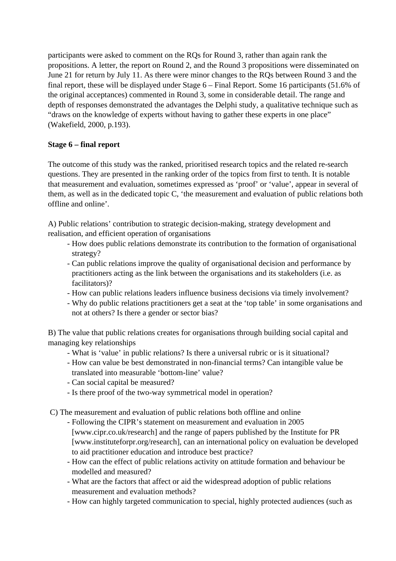participants were asked to comment on the RQs for Round 3, rather than again rank the propositions. A letter, the report on Round 2, and the Round 3 propositions were disseminated on June 21 for return by July 11. As there were minor changes to the RQs between Round 3 and the final report, these will be displayed under Stage 6 – Final Report. Some 16 participants (51.6% of the original acceptances) commented in Round 3, some in considerable detail. The range and depth of responses demonstrated the advantages the Delphi study, a qualitative technique such as "draws on the knowledge of experts without having to gather these experts in one place" (Wakefield, 2000, p.193).

# **Stage 6 – final report**

The outcome of this study was the ranked, prioritised research topics and the related re-search questions. They are presented in the ranking order of the topics from first to tenth. It is notable that measurement and evaluation, sometimes expressed as 'proof' or 'value', appear in several of them, as well as in the dedicated topic C, 'the measurement and evaluation of public relations both offline and online'.

A) Public relations' contribution to strategic decision-making, strategy development and realisation, and efficient operation of organisations

- How does public relations demonstrate its contribution to the formation of organisational strategy?
- Can public relations improve the quality of organisational decision and performance by practitioners acting as the link between the organisations and its stakeholders (i.e. as facilitators)?
- How can public relations leaders influence business decisions via timely involvement?
- Why do public relations practitioners get a seat at the 'top table' in some organisations and not at others? Is there a gender or sector bias?

B) The value that public relations creates for organisations through building social capital and managing key relationships

- What is 'value' in public relations? Is there a universal rubric or is it situational?
- How can value be best demonstrated in non-financial terms? Can intangible value be translated into measurable 'bottom-line' value?
- Can social capital be measured?
- Is there proof of the two-way symmetrical model in operation?

C) The measurement and evaluation of public relations both offline and online

- Following the CIPR's statement on measurement and evaluation in 2005 [www.cipr.co.uk/research] and the range of papers published by the Institute for PR [www.instituteforpr.org/research], can an international policy on evaluation be developed to aid practitioner education and introduce best practice?
- How can the effect of public relations activity on attitude formation and behaviour be modelled and measured?
- What are the factors that affect or aid the widespread adoption of public relations measurement and evaluation methods?
- How can highly targeted communication to special, highly protected audiences (such as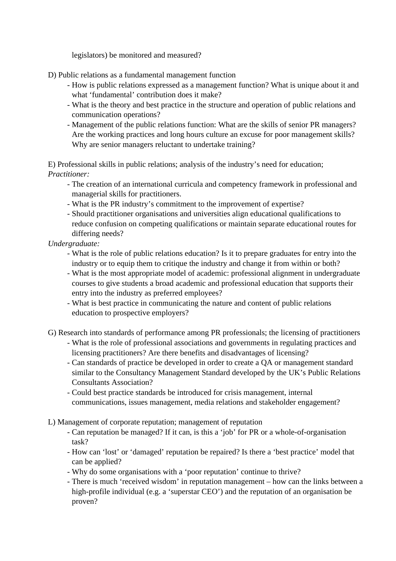legislators) be monitored and measured?

D) Public relations as a fundamental management function

- How is public relations expressed as a management function? What is unique about it and what 'fundamental' contribution does it make?
- What is the theory and best practice in the structure and operation of public relations and communication operations?
- Management of the public relations function: What are the skills of senior PR managers? Are the working practices and long hours culture an excuse for poor management skills? Why are senior managers reluctant to undertake training?

E) Professional skills in public relations; analysis of the industry's need for education; *Practitioner:*

- The creation of an international curricula and competency framework in professional and managerial skills for practitioners.
- What is the PR industry's commitment to the improvement of expertise?
- Should practitioner organisations and universities align educational qualifications to reduce confusion on competing qualifications or maintain separate educational routes for differing needs?

## *Undergraduate:*

- What is the role of public relations education? Is it to prepare graduates for entry into the industry or to equip them to critique the industry and change it from within or both?
- What is the most appropriate model of academic: professional alignment in undergraduate courses to give students a broad academic and professional education that supports their entry into the industry as preferred employees?
- What is best practice in communicating the nature and content of public relations education to prospective employers?
- G) Research into standards of performance among PR professionals; the licensing of practitioners
	- What is the role of professional associations and governments in regulating practices and licensing practitioners? Are there benefits and disadvantages of licensing?
	- Can standards of practice be developed in order to create a QA or management standard similar to the Consultancy Management Standard developed by the UK's Public Relations Consultants Association?
	- Could best practice standards be introduced for crisis management, internal communications, issues management, media relations and stakeholder engagement?
- L) Management of corporate reputation; management of reputation
	- Can reputation be managed? If it can, is this a 'job' for PR or a whole-of-organisation task?
	- How can 'lost' or 'damaged' reputation be repaired? Is there a 'best practice' model that can be applied?
	- Why do some organisations with a 'poor reputation' continue to thrive?
	- There is much 'received wisdom' in reputation management how can the links between a high-profile individual (e.g. a 'superstar CEO') and the reputation of an organisation be proven?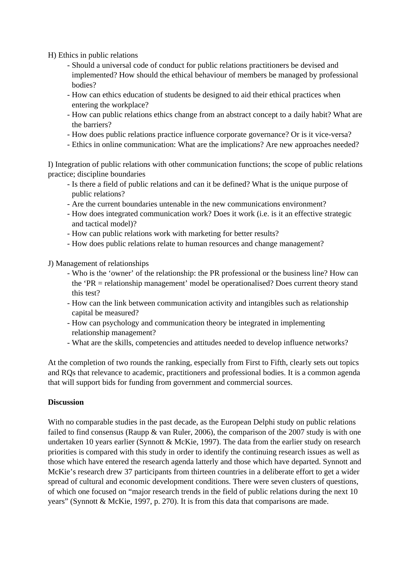H) Ethics in public relations

- Should a universal code of conduct for public relations practitioners be devised and implemented? How should the ethical behaviour of members be managed by professional bodies?
- How can ethics education of students be designed to aid their ethical practices when entering the workplace?
- How can public relations ethics change from an abstract concept to a daily habit? What are the barriers?
- How does public relations practice influence corporate governance? Or is it vice-versa?
- Ethics in online communication: What are the implications? Are new approaches needed?

I) Integration of public relations with other communication functions; the scope of public relations practice; discipline boundaries

- Is there a field of public relations and can it be defined? What is the unique purpose of public relations?
- Are the current boundaries untenable in the new communications environment?
- How does integrated communication work? Does it work (i.e. is it an effective strategic and tactical model)?
- How can public relations work with marketing for better results?
- How does public relations relate to human resources and change management?

J) Management of relationships

- Who is the 'owner' of the relationship: the PR professional or the business line? How can the 'PR = relationship management' model be operationalised? Does current theory stand this test?
- How can the link between communication activity and intangibles such as relationship capital be measured?
- How can psychology and communication theory be integrated in implementing relationship management?
- What are the skills, competencies and attitudes needed to develop influence networks?

At the completion of two rounds the ranking, especially from First to Fifth, clearly sets out topics and RQs that relevance to academic, practitioners and professional bodies. It is a common agenda that will support bids for funding from government and commercial sources.

## **Discussion**

With no comparable studies in the past decade, as the European Delphi study on public relations failed to find consensus (Raupp & van Ruler, 2006), the comparison of the 2007 study is with one undertaken 10 years earlier (Synnott & McKie, 1997). The data from the earlier study on research priorities is compared with this study in order to identify the continuing research issues as well as those which have entered the research agenda latterly and those which have departed. Synnott and McKie's research drew 37 participants from thirteen countries in a deliberate effort to get a wider spread of cultural and economic development conditions. There were seven clusters of questions, of which one focused on "major research trends in the field of public relations during the next 10 years" (Synnott & McKie, 1997, p. 270). It is from this data that comparisons are made.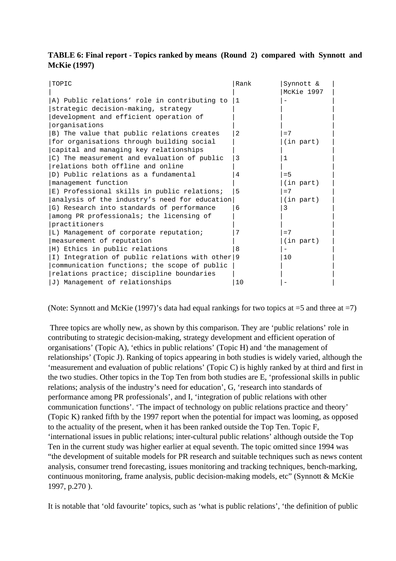## **TABLE 6: Final report - Topics ranked by means (Round 2) compared with Synnott and McKie (1997)**

| TOPIC                                           | Rank | Synnott &<br>McKie 1997 |
|-------------------------------------------------|------|-------------------------|
| A) Public relations' role in contributing to    | 1    |                         |
| strategic decision-making, strategy             |      |                         |
| development and efficient operation of          |      |                         |
| organisations                                   |      |                         |
| B) The value that public relations creates      | 2    | $=7$                    |
| for organisations through building social       |      | (in part)               |
| capital and managing key relationships          |      |                         |
| C) The measurement and evaluation of public     | 3    | 1                       |
| relations both offline and online               |      |                         |
| D) Public relations as a fundamental            | 4    | $= 5$                   |
| management function                             |      | (in part)               |
| E) Professional skills in public relations;     | 5    | $=7$                    |
| analysis of the industry's need for education   |      | (in part)               |
| G) Research into standards of performance       | 6    | 3                       |
| among PR professionals; the licensing of        |      |                         |
| practitioners                                   |      |                         |
| L) Management of corporate reputation;          | 7    | $=7$                    |
| measurement of reputation                       |      | (in part)               |
| H) Ethics in public relations                   | 8    |                         |
| I) Integration of public relations with other 9 |      | 10                      |
| communication functions; the scope of public    |      |                         |
| relations practice; discipline boundaries       |      |                         |
| J) Management of relationships                  | 10   |                         |

(Note: Synnott and McKie (1997)'s data had equal rankings for two topics at  $=5$  and three at  $=7$ )

 Three topics are wholly new, as shown by this comparison. They are 'public relations' role in contributing to strategic decision-making, strategy development and efficient operation of organisations' (Topic A), 'ethics in public relations' (Topic H) and 'the management of relationships' (Topic J). Ranking of topics appearing in both studies is widely varied, although the 'measurement and evaluation of public relations' (Topic C) is highly ranked by at third and first in the two studies. Other topics in the Top Ten from both studies are E, 'professional skills in public relations; analysis of the industry's need for education', G, 'research into standards of performance among PR professionals', and I, 'integration of public relations with other communication functions'. 'The impact of technology on public relations practice and theory' (Topic K) ranked fifth by the 1997 report when the potential for impact was looming, as opposed to the actuality of the present, when it has been ranked outside the Top Ten. Topic F, 'international issues in public relations; inter-cultural public relations' although outside the Top Ten in the current study was higher earlier at equal seventh. The topic omitted since 1994 was "the development of suitable models for PR research and suitable techniques such as news content analysis, consumer trend forecasting, issues monitoring and tracking techniques, bench-marking, continuous monitoring, frame analysis, public decision-making models, etc" (Synnott & McKie 1997, p.270 ).

It is notable that 'old favourite' topics, such as 'what is public relations', 'the definition of public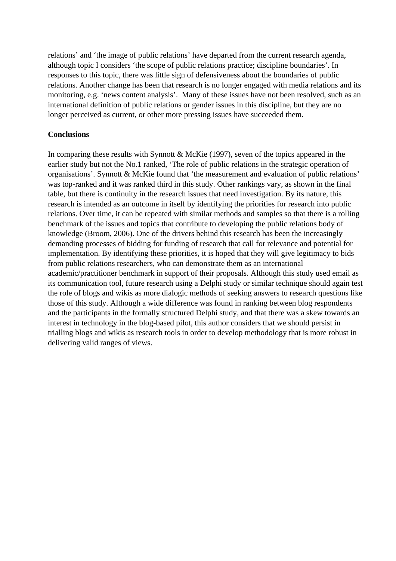relations' and 'the image of public relations' have departed from the current research agenda, although topic I considers 'the scope of public relations practice; discipline boundaries'. In responses to this topic, there was little sign of defensiveness about the boundaries of public relations. Another change has been that research is no longer engaged with media relations and its monitoring, e.g. 'news content analysis'. Many of these issues have not been resolved, such as an international definition of public relations or gender issues in this discipline, but they are no longer perceived as current, or other more pressing issues have succeeded them.

#### **Conclusions**

In comparing these results with Synnott & McKie (1997), seven of the topics appeared in the earlier study but not the No.1 ranked, 'The role of public relations in the strategic operation of organisations'. Synnott & McKie found that 'the measurement and evaluation of public relations' was top-ranked and it was ranked third in this study. Other rankings vary, as shown in the final table, but there is continuity in the research issues that need investigation. By its nature, this research is intended as an outcome in itself by identifying the priorities for research into public relations. Over time, it can be repeated with similar methods and samples so that there is a rolling benchmark of the issues and topics that contribute to developing the public relations body of knowledge (Broom, 2006). One of the drivers behind this research has been the increasingly demanding processes of bidding for funding of research that call for relevance and potential for implementation. By identifying these priorities, it is hoped that they will give legitimacy to bids from public relations researchers, who can demonstrate them as an international academic/practitioner benchmark in support of their proposals. Although this study used email as its communication tool, future research using a Delphi study or similar technique should again test the role of blogs and wikis as more dialogic methods of seeking answers to research questions like those of this study. Although a wide difference was found in ranking between blog respondents and the participants in the formally structured Delphi study, and that there was a skew towards an interest in technology in the blog-based pilot, this author considers that we should persist in trialling blogs and wikis as research tools in order to develop methodology that is more robust in delivering valid ranges of views.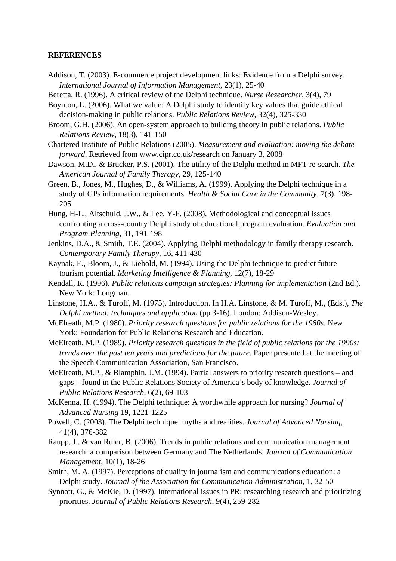#### **REFERENCES**

- Addison, T. (2003). E-commerce project development links: Evidence from a Delphi survey. *International Journal of Information Management*, 23(1), 25-40
- Beretta, R. (1996). A critical review of the Delphi technique. *Nurse Researcher*, 3(4), 79
- Boynton, L. (2006). What we value: A Delphi study to identify key values that guide ethical decision-making in public relations. *Public Relations Review*, 32(4), 325-330
- Broom, G.H. (2006). An open-system approach to building theory in public relations. *Public Relations Review*, 18(3), 141-150
- Chartered Institute of Public Relations (2005). *Measurement and evaluation: moving the debate forward*. Retrieved from www.cipr.co.uk/research on January 3, 2008
- Dawson, M.D., & Brucker, P.S. (2001). The utility of the Delphi method in MFT re-search. *The American Journal of Family Therapy*, 29, 125-140
- Green, B., Jones, M., Hughes, D., & Williams, A. (1999). Applying the Delphi technique in a study of GPs information requirements. *Health & Social Care in the Community*, 7(3), 198- 205
- Hung, H-L., Altschuld, J.W., & Lee, Y-F. (2008). Methodological and conceptual issues confronting a cross-country Delphi study of educational program evaluation. *Evaluation and Program Planning*, 31, 191-198
- Jenkins, D.A., & Smith, T.E. (2004). Applying Delphi methodology in family therapy research. *Contemporary Family Therapy*, 16, 411-430
- Kaynak, E., Bloom, J., & Liebold, M. (1994). Using the Delphi technique to predict future tourism potential. *Marketing Intelligence & Planning*, 12(7), 18-29
- Kendall, R. (1996). *Public relations campaign strategies: Planning for implementation* (2nd Ed.). New York: Longman.
- Linstone, H.A., & Turoff, M. (1975). Introduction. In H.A. Linstone, & M. Turoff, M., (Eds.), *The Delphi method: techniques and application* (pp.3-16). London: Addison-Wesley.
- McElreath, M.P. (1980). *Priority research questions for public relations for the 1980s*. New York: Foundation for Public Relations Research and Education.
- McElreath, M.P. (1989). *Priority research questions in the field of public relations for the 1990s: trends over the past ten years and predictions for the future*. Paper presented at the meeting of the Speech Communication Association, San Francisco.
- McElreath, M.P., & Blamphin, J.M. (1994). Partial answers to priority research questions and gaps – found in the Public Relations Society of America's body of knowledge. *Journal of Public Relations Research*, 6(2), 69-103
- McKenna, H. (1994). The Delphi technique: A worthwhile approach for nursing? *Journal of Advanced Nursing* 19, 1221-1225
- Powell, C. (2003). The Delphi technique: myths and realities. *Journal of Advanced Nursing*, 41(4), 376-382
- Raupp, J., & van Ruler, B. (2006). Trends in public relations and communication management research: a comparison between Germany and The Netherlands. *Journal of Communication Management*, 10(1), 18-26
- Smith, M. A. (1997). Perceptions of quality in journalism and communications education: a Delphi study. *Journal of the Association for Communication Administration*, 1, 32-50
- Synnott, G., & McKie, D. (1997). International issues in PR: researching research and prioritizing priorities. *Journal of Public Relations Research*, 9(4), 259-282